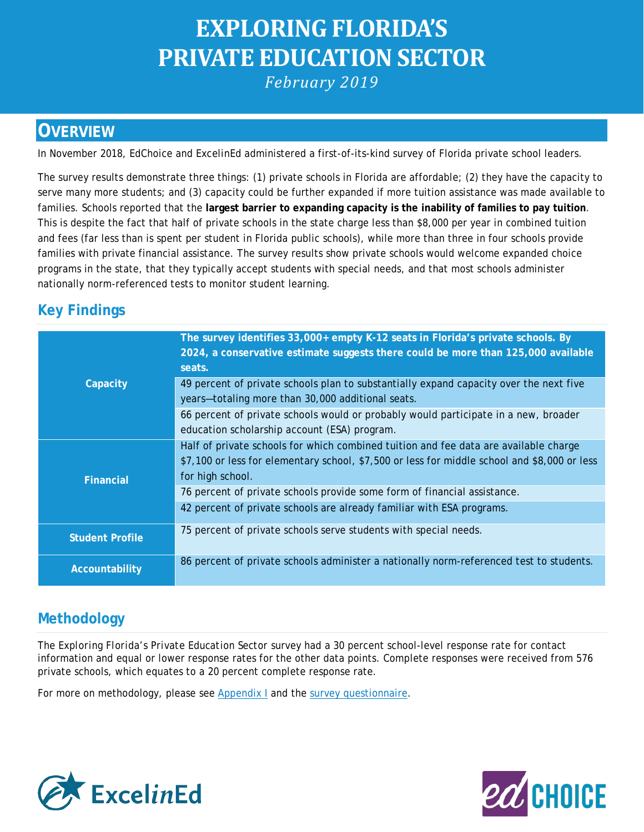# **EXPLORING FLORIDA'S PRIVATE EDUCATION SECTOR** *February 2019*

## **OVERVIEW**

In November 2018, EdChoice and Excel*in*Ed administered a first-of-its-kind survey of Florida private school leaders.

The survey results demonstrate three things: (1) private schools in Florida are affordable; (2) they have the capacity to serve many more students; and (3) capacity could be further expanded if more tuition assistance was made available to families. Schools reported that the **largest barrier to expanding capacity is the inability of families to pay tuition**. This is despite the fact that half of private schools in the state charge less than \$8,000 per year in combined tuition and fees (far less than is spent per student in Florida public schools), while more than three in four schools provide families with private financial assistance. The survey results show private schools would welcome expanded choice programs in the state, that they typically accept students with special needs, and that most schools administer nationally norm-referenced tests to monitor student learning.

## **Key Findings**

|                        | The survey identifies 33,000+ empty K-12 seats in Florida's private schools. By<br>2024, a conservative estimate suggests there could be more than 125,000 available<br>seats. |
|------------------------|--------------------------------------------------------------------------------------------------------------------------------------------------------------------------------|
| Capacity               | 49 percent of private schools plan to substantially expand capacity over the next five                                                                                         |
|                        | years-totaling more than 30,000 additional seats.                                                                                                                              |
|                        | 66 percent of private schools would or probably would participate in a new, broader                                                                                            |
|                        | education scholarship account (ESA) program.                                                                                                                                   |
|                        | Half of private schools for which combined tuition and fee data are available charge                                                                                           |
|                        | \$7,100 or less for elementary school, \$7,500 or less for middle school and \$8,000 or less                                                                                   |
| <b>Financial</b>       | for high school.                                                                                                                                                               |
|                        | 76 percent of private schools provide some form of financial assistance.                                                                                                       |
|                        | 42 percent of private schools are already familiar with ESA programs.                                                                                                          |
| <b>Student Profile</b> | 75 percent of private schools serve students with special needs.                                                                                                               |
| Accountability         | 86 percent of private schools administer a nationally norm-referenced test to students.                                                                                        |

## **Methodology**

The *Exploring Florida's Private Education Sector* survey had a 30 percent school-level response rate for contact information and equal or lower response rates for the other data points. Complete responses were received from 576 private schools, which equates to a 20 percent complete response rate.

For more on methodology, please see [Appendix I](https://www.excelined.org/wp-content/uploads/2019/02/ExcelinEd.Opportunity.PrivateSchoolChoice.FloridaPrivateSchoolSurvey.Appendix.pdf) and the [survey questionnaire.](https://www.excelined.org/wp-content/uploads/2019/02/ExcelinEd.Opportunity.PrivateSchoolChoice.FloridaPrivateSchoolSurveyQuestionnaire.pdf)



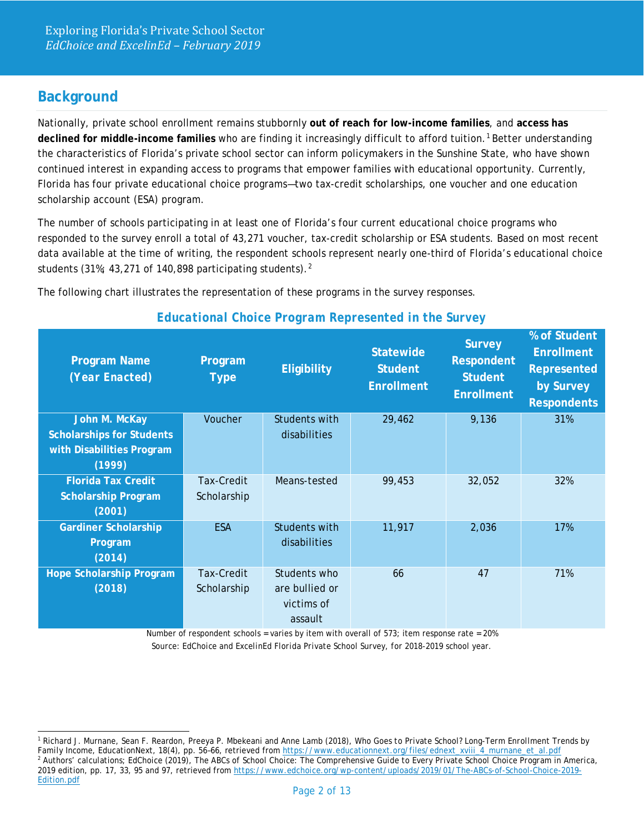## **Background**

Nationally, private school enrollment remains stubbornly **out of reach for low-income families**, and **access has declined for middle-income families** who are finding it increasingly difficult to afford tuition.[1](#page-1-0) Better understanding the characteristics of Florida's private school sector can inform policymakers in the Sunshine State, who have shown continued interest in expanding access to programs that empower families with educational opportunity. Currently, Florida has four private educational choice programs—two tax-credit scholarships, one voucher and one education scholarship account (ESA) program.

The number of schools participating in at least one of Florida's four current educational choice programs who responded to the survey enroll a total of 43,271 voucher, tax-credit scholarship or ESA students. Based on most recent data available at the time of writing, the respondent schools represent nearly one-third of Florida's educational choice students (31%; 43,[2](#page-1-1)71 of 140,898 participating students).<sup>2</sup>

The following chart illustrates the representation of these programs in the survey responses.

| <b>Program Name</b><br>(Year Enacted)                                                    | Program<br><b>Type</b>    | <b>Eligibility</b>                                      | <b>Statewide</b><br><b>Student</b><br><b>Enrollment</b> | <b>Survey</b><br><b>Respondent</b><br><b>Student</b><br><b>Enrollment</b> | % of Student<br><b>Enrollment</b><br><b>Represented</b><br>by Survey<br><b>Respondents</b> |
|------------------------------------------------------------------------------------------|---------------------------|---------------------------------------------------------|---------------------------------------------------------|---------------------------------------------------------------------------|--------------------------------------------------------------------------------------------|
| John M. McKay<br><b>Scholarships for Students</b><br>with Disabilities Program<br>(1999) | Voucher                   | Students with<br>disabilities                           | 29,462                                                  | 9,136                                                                     | 31%                                                                                        |
| <b>Florida Tax Credit</b><br><b>Scholarship Program</b><br>(2001)                        | Tax-Credit<br>Scholarship | Means-tested                                            | 99,453                                                  | 32,052                                                                    | 32%                                                                                        |
| <b>Gardiner Scholarship</b><br>Program<br>(2014)                                         | <b>ESA</b>                | Students with<br>disabilities                           | 11,917                                                  | 2,036                                                                     | 17%                                                                                        |
| <b>Hope Scholarship Program</b><br>(2018)                                                | Tax-Credit<br>Scholarship | Students who<br>are bullied or<br>victims of<br>assault | 66                                                      | 47                                                                        | 71%                                                                                        |

#### *Educational Choice Program Represented in the Survey*

Number of respondent schools = varies by item with overall of 573; item response rate = 20% *Source: EdChoice and ExcelinEd Florida Private School Survey, for 2018-2019 school year.* 

<span id="page-1-1"></span><span id="page-1-0"></span> <sup>1</sup> Richard J. Murnane, Sean F. Reardon, Preeya P. Mbekeani and Anne Lamb (2018), *Who Goes to Private School? Long-Term Enrollment Trends by Family Income*, EducationNext*, 18*(4), pp. 56–66, retrieved from [https://www.educationnext.org/files/ednext\\_xviii\\_4\\_murnane\\_et\\_al.pdf](https://www.educationnext.org/files/ednext_xviii_4_murnane_et_al.pdf) <sup>2</sup> Authors' calculations; EdChoice (2019), *The ABCs of School Choice: The Comprehensive Guide to Every Private School Choice Program in America*, 2019 edition, pp. 17, 33, 95 and 97, retrieved from [https://www.edchoice.org/wp-content/uploads/2019/01/The-ABCs-of-School-Choice-2019-](https://www.edchoice.org/wp-content/uploads/2019/01/The-ABCs-of-School-Choice-2019-Edition.pdf) [Edition.pdf](https://www.edchoice.org/wp-content/uploads/2019/01/The-ABCs-of-School-Choice-2019-Edition.pdf)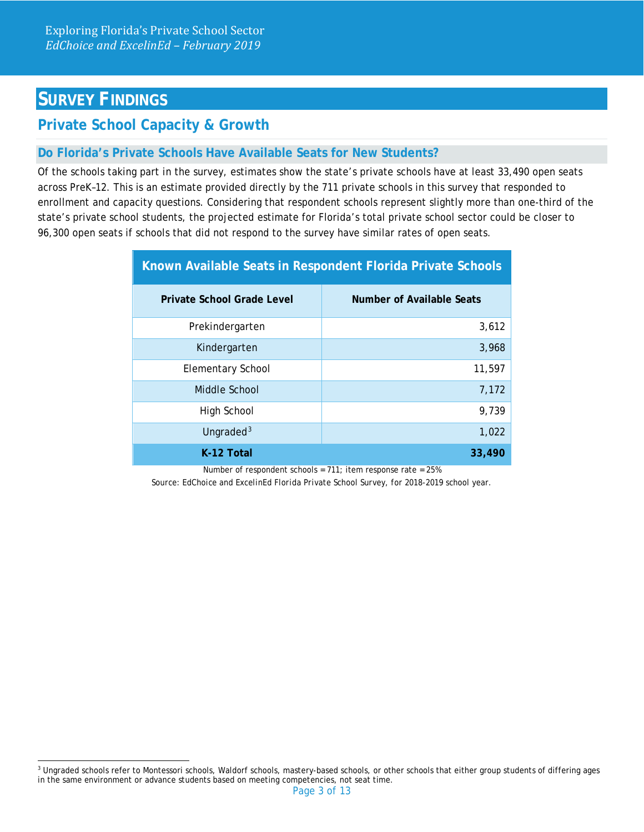## **SURVEY FINDINGS**

## **Private School Capacity & Growth**

#### **Do Florida's Private Schools Have Available Seats for New Students?**

Of the schools taking part in the survey, estimates show the state's private schools have at least 33,490 open seats across PreK–12. This is an estimate provided directly by the 711 private schools in this survey that responded to enrollment and capacity questions. Considering that respondent schools represent slightly more than one-third of the state's private school students, the projected estimate for Florida's total private school sector could be closer to 96,300 open seats if schools that did not respond to the survey have similar rates of open seats.

| Known Available Seats in Respondent Florida Private Schools |                           |  |
|-------------------------------------------------------------|---------------------------|--|
| Private School Grade Level                                  | Number of Available Seats |  |
| Prekindergarten                                             | 3,612                     |  |
| Kindergarten                                                | 3,968                     |  |
| <b>Elementary School</b>                                    | 11,597                    |  |
| Middle School                                               | 7,172                     |  |
| High School                                                 | 9,739                     |  |
| Ungraded <sup>3</sup>                                       | 1,022                     |  |
| K-12 Total                                                  | 33,490                    |  |

Number of respondent schools =  $711$ ; item response rate =  $25%$ 

*Source: EdChoice and ExcelinEd Florida Private School Survey, for 2018-2019 school year.*

<span id="page-2-0"></span><sup>&</sup>lt;sup>3</sup> Ungraded schools refer to Montessori schools, Waldorf schools, mastery-based schools, or other schools that either group students of differing ages in the same environment or advance students based on meeting competencies, not seat time.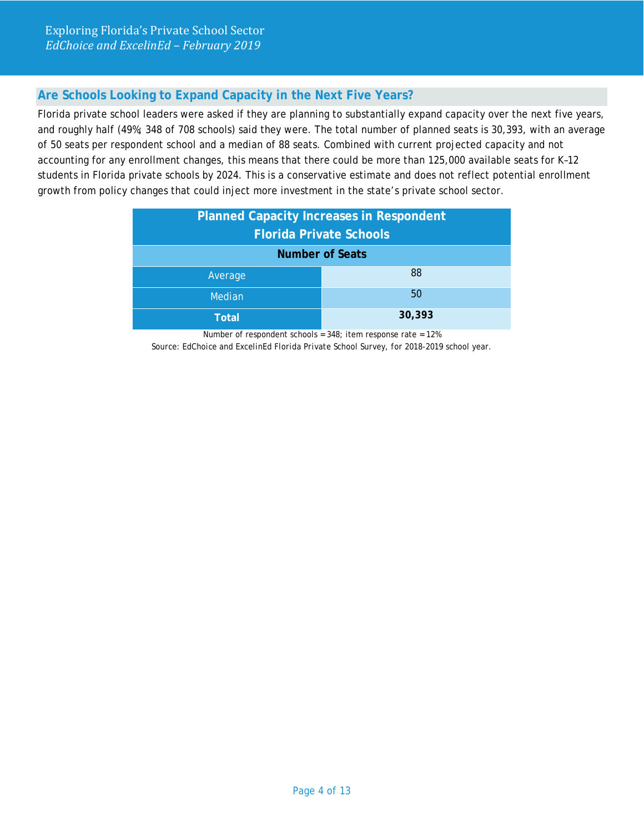## **Are Schools Looking to Expand Capacity in the Next Five Years?**

Florida private school leaders were asked if they are planning to substantially expand capacity over the next five years, and roughly half (49%; 348 of 708 schools) said they were. The total number of planned seats is 30,393, with an average of 50 seats per respondent school and a median of 88 seats. Combined with current projected capacity and not accounting for any enrollment changes, this means that there could be more than 125,000 available seats for K–12 students in Florida private schools by 2024. This is a conservative estimate and does not reflect potential enrollment growth from policy changes that could inject more investment in the state's private school sector.

| <b>Planned Capacity Increases in Respondent</b><br><b>Florida Private Schools</b> |        |  |
|-----------------------------------------------------------------------------------|--------|--|
| <b>Number of Seats</b>                                                            |        |  |
| Average                                                                           | 88     |  |
| Median                                                                            | 50     |  |
| Total                                                                             | 30,393 |  |

Number of respondent schools = 348; item response rate = 12% *Source: EdChoice and ExcelinEd Florida Private School Survey, for 2018-2019 school year.*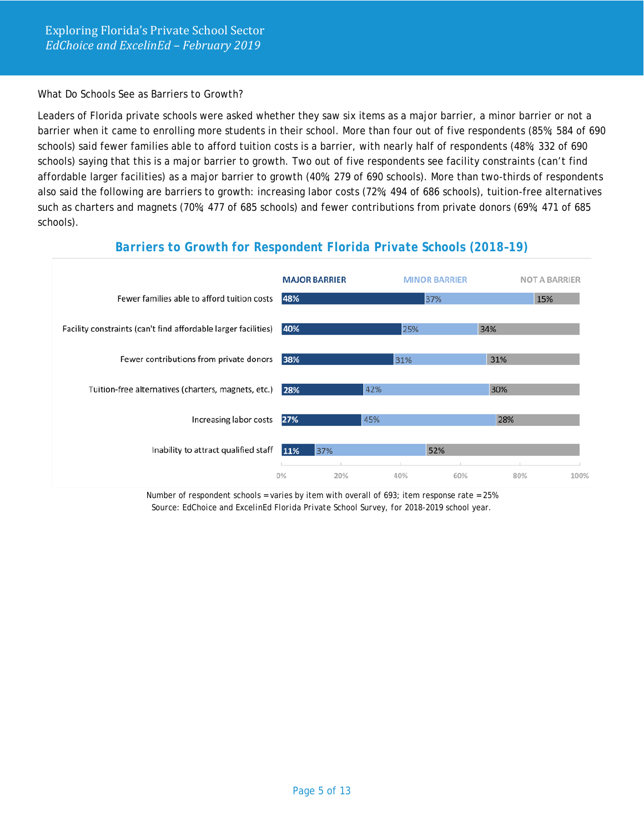What Do Schools See as Barriers to Growth?

Leaders of Florida private schools were asked whether they saw six items as a major barrier, a minor barrier or not a barrier when it came to enrolling more students in their school. More than four out of five respondents (85%; 584 of 690 schools) said fewer families able to afford tuition costs is a barrier, with nearly half of respondents (48%; 332 of 690 schools) saying that this is a major barrier to growth. Two out of five respondents see facility constraints (can't find affordable larger facilities) as a major barrier to growth (40%; 279 of 690 schools). More than two-thirds of respondents also said the following are barriers to growth: increasing labor costs (72%; 494 of 686 schools), tuition-free alternatives such as charters and magnets (70%; 477 of 685 schools) and fewer contributions from private donors (69%; 471 of 685 schools).

#### *Barriers to Growth for Respondent Florida Private Schools (2018–19)*



Number of respondent schools = varies by item with overall of 693; item response rate =  $25\%$ *Source: EdChoice and ExcelinEd Florida Private School Survey, for 2018-2019 school year.*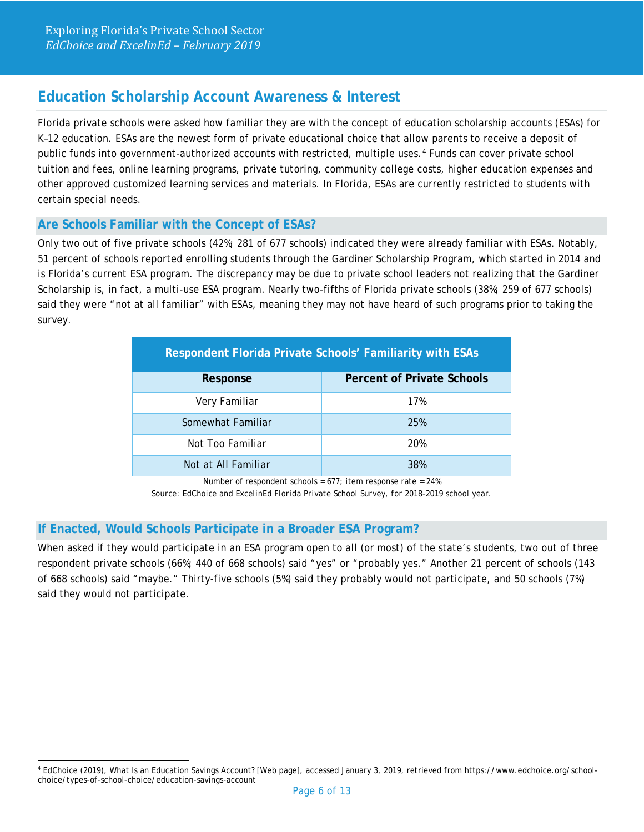## **Education Scholarship Account Awareness & Interest**

Florida private schools were asked how familiar they are with the concept of education scholarship accounts (ESAs) for K–12 education. ESAs are the newest form of private educational choice that allow parents to receive a deposit of public funds into government-authorized accounts with restricted, multiple uses.<sup>[4](#page-5-0)</sup> Funds can cover private school tuition and fees, online learning programs, private tutoring, community college costs, higher education expenses and other approved customized learning services and materials. In Florida, ESAs are currently restricted to students with certain special needs.

#### **Are Schools Familiar with the Concept of ESAs?**

Only two out of five private schools (42%; 281 of 677 schools) indicated they were already familiar with ESAs. Notably, 51 percent of schools reported enrolling students through the Gardiner Scholarship Program, which started in 2014 and is Florida's current ESA program. The discrepancy may be due to private school leaders not realizing that the Gardiner Scholarship is, in fact, a multi-use ESA program. Nearly two-fifths of Florida private schools (38%; 259 of 677 schools) said they were "not at all familiar" with ESAs, meaning they may not have heard of such programs prior to taking the survey.

| Respondent Florida Private Schools' Familiarity with ESAs |                                   |  |
|-----------------------------------------------------------|-----------------------------------|--|
| Response                                                  | <b>Percent of Private Schools</b> |  |
| Very Familiar                                             | 17%                               |  |
| Somewhat Familiar                                         | 25%                               |  |
| Not Too Familiar                                          | 20%                               |  |
| Not at All Familiar                                       | 38%                               |  |

Number of respondent schools =  $677$ ; item response rate =  $24\%$ 

*Source: EdChoice and ExcelinEd Florida Private School Survey, for 2018-2019 school year.*

#### **If Enacted, Would Schools Participate in a Broader ESA Program?**

When asked if they would participate in an ESA program open to all (or most) of the state's students, two out of three respondent private schools (66%; 440 of 668 schools) said "yes" or "probably yes." Another 21 percent of schools (143 of 668 schools) said "maybe." Thirty-five schools (5%) said they probably would not participate, and 50 schools (7%) said they would not participate.

<span id="page-5-0"></span> <sup>4</sup> EdChoice (2019), What Is an Education Savings Account? [Web page], accessed January 3, 2019, retrieved from https://www.edchoice.org/schoolchoice/types-of-school-choice/education-savings-account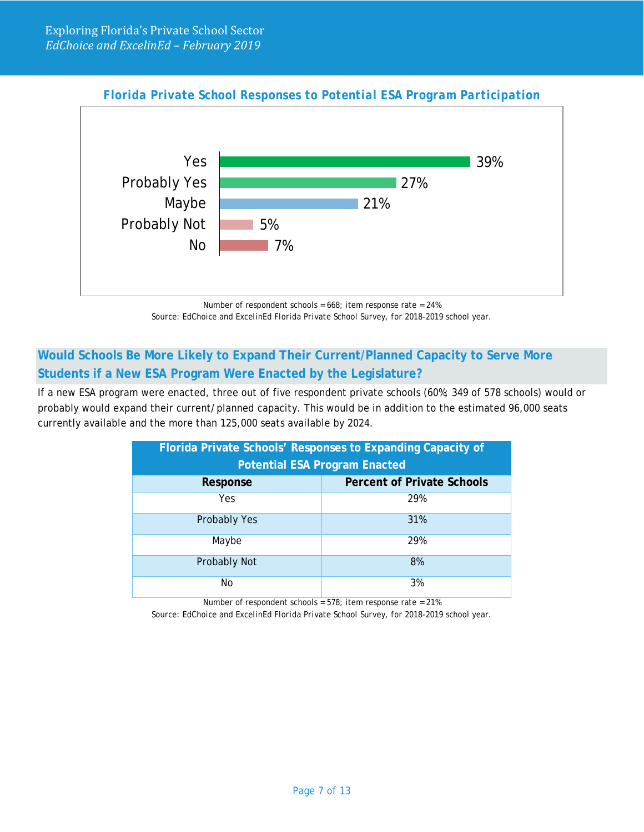



Number of respondent schools = 668; item response rate = 24% *Source: EdChoice and ExcelinEd Florida Private School Survey, for 2018-2019 school year.*

## **Would Schools Be More Likely to Expand Their Current/Planned Capacity to Serve More Students if a New ESA Program Were Enacted by the Legislature?**

If a new ESA program were enacted, three out of five respondent private schools (60%; 349 of 578 schools) would or probably would expand their current/planned capacity. This would be in addition to the estimated 96,000 seats currently available and the more than 125,000 seats available by 2024.

| Florida Private Schools' Responses to Expanding Capacity of<br><b>Potential ESA Program Enacted</b> |                                   |  |
|-----------------------------------------------------------------------------------------------------|-----------------------------------|--|
| Response                                                                                            | <b>Percent of Private Schools</b> |  |
| Yes.                                                                                                | 29%                               |  |
| Probably Yes                                                                                        | 31%                               |  |
| Maybe                                                                                               | 29%                               |  |
| Probably Not                                                                                        | 8%                                |  |
| No                                                                                                  | 3%                                |  |

Number of respondent schools = 578; item response rate = 21%

*Source: EdChoice and ExcelinEd Florida Private School Survey, for 2018-2019 school year.*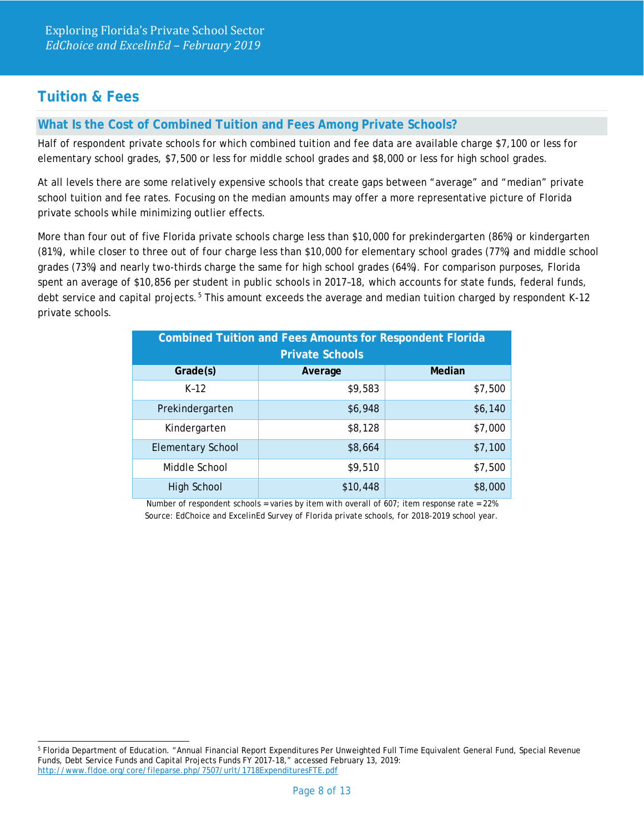## **Tuition & Fees**

#### **What Is the Cost of Combined Tuition and Fees Among Private Schools?**

Half of respondent private schools for which combined tuition and fee data are available charge \$7,100 or less for elementary school grades, \$7,500 or less for middle school grades and \$8,000 or less for high school grades.

At all levels there are some relatively expensive schools that create gaps between "average" and "median" private school tuition and fee rates. Focusing on the median amounts may offer a more representative picture of Florida private schools while minimizing outlier effects.

More than four out of five Florida private schools charge less than \$10,000 for prekindergarten (86%) or kindergarten (81%), while closer to three out of four charge less than \$10,000 for elementary school grades (77%) and middle school grades (73%) and nearly two-thirds charge the same for high school grades (64%). For comparison purposes, Florida spent an average of \$10,856 per student in public schools in 2017–18, which accounts for state funds, federal funds, debt service and capital projects.<sup>[5](#page-7-0)</sup> This amount exceeds the average and median tuition charged by respondent K-12 private schools.

| <b>Combined Tuition and Fees Amounts for Respondent Florida</b><br><b>Private Schools</b> |          |         |  |
|-------------------------------------------------------------------------------------------|----------|---------|--|
| Grade(s)                                                                                  | Average  | Median  |  |
| $K-12$                                                                                    | \$9,583  | \$7,500 |  |
| Prekindergarten                                                                           | \$6,948  | \$6,140 |  |
| Kindergarten                                                                              | \$8,128  | \$7,000 |  |
| <b>Elementary School</b>                                                                  | \$8,664  | \$7,100 |  |
| Middle School                                                                             | \$9,510  | \$7,500 |  |
| <b>High School</b>                                                                        | \$10,448 | \$8,000 |  |

Number of respondent schools = varies by item with overall of  $607$ ; item response rate =  $22\%$ *Source: EdChoice and ExcelinEd Survey of Florida private schools, for 2018-2019 school year.* 

<span id="page-7-0"></span> <sup>5</sup> Florida Department of Education. "Annual Financial Report Expenditures Per Unweighted Full Time Equivalent General Fund, Special Revenue Funds, Debt Service Funds and Capital Projects Funds FY 2017-18," accessed February 13, 2019: <http://www.fldoe.org/core/fileparse.php/7507/urlt/1718ExpendituresFTE.pdf>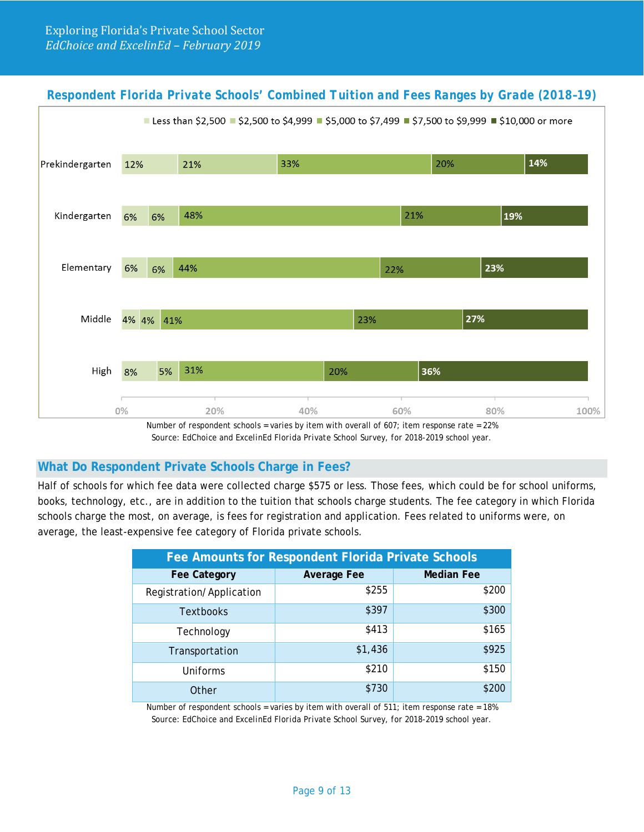## *Respondent Florida Private Schools' Combined Tuition and Fees Ranges by Grade (2018–19)*



Number of respondent schools = varies by item with overall of 607; item response rate = 22% *Source: EdChoice and ExcelinEd Florida Private School Survey, for 2018-2019 school year.*

#### **What Do Respondent Private Schools Charge in Fees?**

Half of schools for which fee data were collected charge \$575 or less. Those fees, which could be for school uniforms, books, technology, etc., are in addition to the tuition that schools charge students. The fee category in which Florida schools charge the most, on average, is fees for registration and application. Fees related to uniforms were, on average, the least-expensive fee category of Florida private schools.

| Fee Amounts for Respondent Florida Private Schools |                    |                   |
|----------------------------------------------------|--------------------|-------------------|
| <b>Fee Category</b>                                | <b>Average Fee</b> | <b>Median Fee</b> |
| Registration/Application                           | \$255              | \$200             |
| <b>Textbooks</b>                                   | \$397              | \$300             |
| Technology                                         | \$413              | \$165             |
| Transportation                                     | \$1,436            | \$925             |
| Uniforms                                           | \$210              | \$150             |
| Other                                              | \$730              | \$200             |

Number of respondent schools = varies by item with overall of 511; item response rate = 18% *Source: EdChoice and ExcelinEd Florida Private School Survey, for 2018-2019 school year.*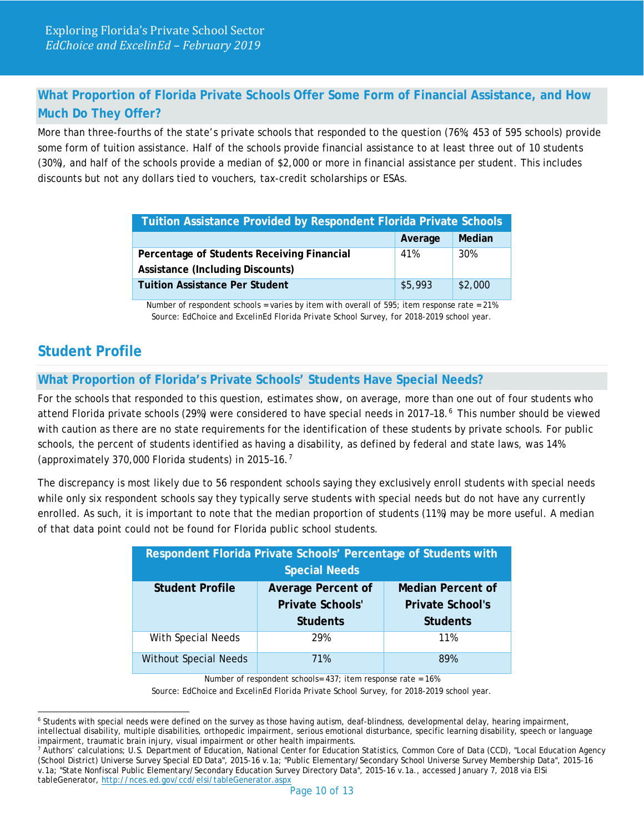## **What Proportion of Florida Private Schools Offer Some Form of Financial Assistance, and How Much Do They Offer?**

More than three-fourths of the state's private schools that responded to the question (76%; 453 of 595 schools) provide some form of tuition assistance. Half of the schools provide financial assistance to at least three out of 10 students (30%), and half of the schools provide a median of \$2,000 or more in financial assistance per student. This includes discounts but not any dollars tied to vouchers, tax-credit scholarships or ESAs.

| <b>Tuition Assistance Provided by Respondent Florida Private Schools</b> |         |         |
|--------------------------------------------------------------------------|---------|---------|
|                                                                          | Average | Median  |
| Percentage of Students Receiving Financial                               | 41%     | 30%     |
| <b>Assistance (Including Discounts)</b>                                  |         |         |
| <b>Tuition Assistance Per Student</b>                                    | \$5,993 | \$2,000 |

Number of respondent schools = varies by item with overall of 595; item response rate = 21% *Source: EdChoice and ExcelinEd Florida Private School Survey, for 2018-2019 school year.*

## **Student Profile**

## **What Proportion of Florida's Private Schools' Students Have Special Needs?**

For the schools that responded to this question, estimates show, on average, more than one out of four students who attend Florida private schools (29%) were considered to have special needs in 2017–18.[6](#page-9-0) This number should be viewed with caution as there are no state requirements for the identification of these students by private schools. For public schools, the percent of students identified as having a disability, as defined by federal and state laws, was 14% (approximately 3[7](#page-9-1)0,000 Florida students) in 2015-16.<sup>7</sup>

The discrepancy is most likely due to 56 respondent schools saying they exclusively enroll students with special needs while only six respondent schools say they typically serve students with special needs but do not have any currently enrolled. As such, it is important to note that the median proportion of students (11%) may be more useful. A median of that data point could not be found for Florida public school students.

| Respondent Florida Private Schools' Percentage of Students with |                           |                          |  |
|-----------------------------------------------------------------|---------------------------|--------------------------|--|
| <b>Special Needs</b>                                            |                           |                          |  |
| <b>Student Profile</b>                                          | <b>Average Percent of</b> | <b>Median Percent of</b> |  |
|                                                                 | <b>Private Schools'</b>   | <b>Private School's</b>  |  |
|                                                                 | <b>Students</b>           | <b>Students</b>          |  |
| With Special Needs                                              | 29%                       | 11%                      |  |
| <b>Without Special Needs</b>                                    | 71%                       | 89%                      |  |

Number of respondent schools= 437; item response rate = 16%

*Source: EdChoice and ExcelinEd Florida Private School Survey, for 2018-2019 school year.*

<span id="page-9-0"></span><sup>&</sup>lt;sup>6</sup> Students with special needs were defined on the survey as those having autism, deaf-blindness, developmental delay, hearing impairment, intellectual disability, multiple disabilities, orthopedic impairment, serious emotional disturbance, specific learning disability, speech or language impairment, traumatic brain injury, visual impairment or other health impairments.

<span id="page-9-1"></span><sup>7</sup> Authors' calculations; U.S. Department of Education, National Center for Education Statistics, Common Core of Data (CCD), "Local Education Agency (School District) Universe Survey Special ED Data", 2015-16 v.1a; "Public Elementary/Secondary School Universe Survey Membership Data", 2015-16 v.1a; "State Nonfiscal Public Elementary/Secondary Education Survey Directory Data", 2015-16 v.1a., accessed January 7, 2018 via ElS*i table*Generator[, http://nces.ed.gov/ccd/elsi/tableGenerator.aspx](http://nces.ed.gov/ccd/elsi/tableGenerator.aspx)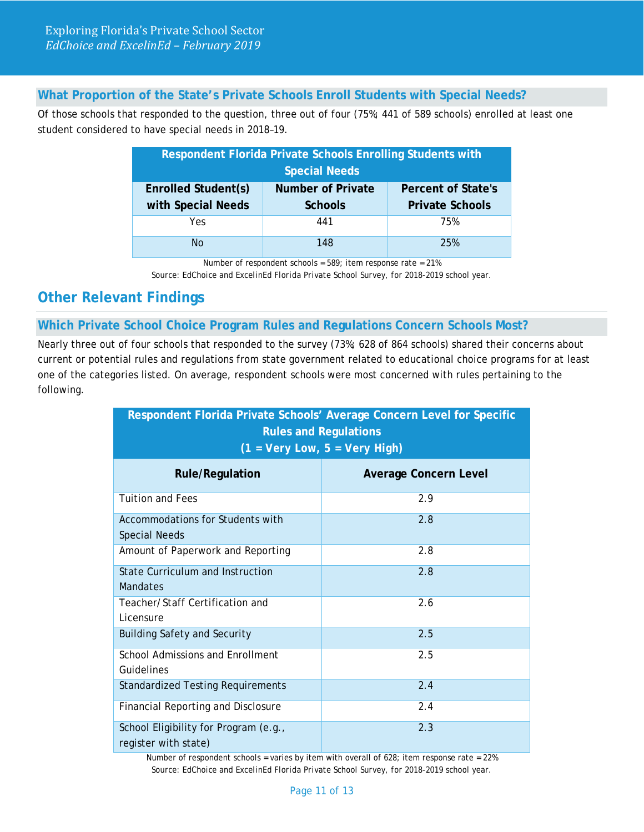#### **What Proportion of the State's Private Schools Enroll Students with Special Needs?**

Of those schools that responded to the question, three out of four (75%; 441 of 589 schools) enrolled at least one student considered to have special needs in 2018–19.

| Respondent Florida Private Schools Enrolling Students with            |                |                        |  |
|-----------------------------------------------------------------------|----------------|------------------------|--|
| <b>Special Needs</b>                                                  |                |                        |  |
| <b>Enrolled Student(s)</b><br>Number of Private<br>Percent of State's |                |                        |  |
| with Special Needs                                                    | <b>Schools</b> | <b>Private Schools</b> |  |
| Yes.                                                                  | 441            | 75%                    |  |
| Nο                                                                    | 148            | 25%                    |  |

Number of respondent schools = 589; item response rate = 21%

*Source: EdChoice and ExcelinEd Florida Private School Survey, for 2018-2019 school year.*

## **Other Relevant Findings**

#### **Which Private School Choice Program Rules and Regulations Concern Schools Most?**

Nearly three out of four schools that responded to the survey (73%; 628 of 864 schools) shared their concerns about current or potential rules and regulations from state government related to educational choice programs for at least one of the categories listed. On average, respondent schools were most concerned with rules pertaining to the following.

| Respondent Florida Private Schools' Average Concern Level for Specific<br><b>Rules and Regulations</b><br>$(1 = Very Low, 5 = Very High)$ |                              |  |
|-------------------------------------------------------------------------------------------------------------------------------------------|------------------------------|--|
| <b>Rule/Regulation</b>                                                                                                                    | <b>Average Concern Level</b> |  |
| <b>Tuition and Fees</b>                                                                                                                   | 2.9                          |  |
| Accommodations for Students with<br><b>Special Needs</b>                                                                                  | 2.8                          |  |
| Amount of Paperwork and Reporting                                                                                                         | 2.8                          |  |
| <b>State Curriculum and Instruction</b><br><b>Mandates</b>                                                                                | 2.8                          |  |
| Teacher/Staff Certification and<br>Licensure                                                                                              | 2.6                          |  |
| <b>Building Safety and Security</b>                                                                                                       | 2.5                          |  |
| <b>School Admissions and Enrollment</b><br>Guidelines                                                                                     | 2.5                          |  |
| <b>Standardized Testing Requirements</b>                                                                                                  | 2.4                          |  |
| <b>Financial Reporting and Disclosure</b>                                                                                                 | 2.4                          |  |
| School Eligibility for Program (e.g.,<br>register with state)                                                                             | 2.3                          |  |

Number of respondent schools = varies by item with overall of  $628$ ; item response rate =  $22\%$ *Source: EdChoice and ExcelinEd Florida Private School Survey, for 2018-2019 school year.*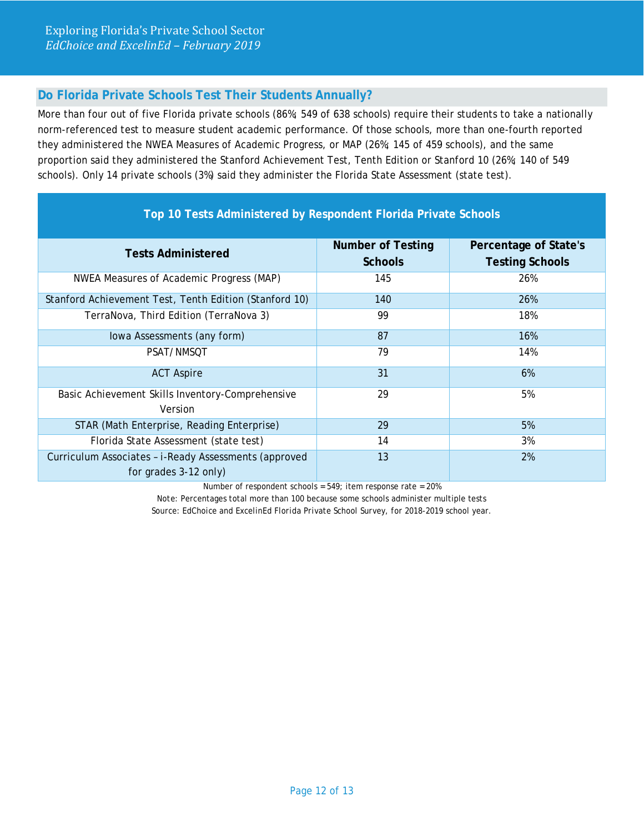## **Do Florida Private Schools Test Their Students Annually?**

More than four out of five Florida private schools (86%; 549 of 638 schools) require their students to take a nationally norm-referenced test to measure student academic performance. Of those schools, more than one-fourth reported they administered the NWEA Measures of Academic Progress, or MAP (26%; 145 of 459 schools), and the same proportion said they administered the Stanford Achievement Test, Tenth Edition or Stanford 10 (26%; 140 of 549 schools). Only 14 private schools (3%) said they administer the Florida State Assessment (state test).

| Top 10 Tests Administered by Respondent Florida Private Schools                |                                            |                                                 |
|--------------------------------------------------------------------------------|--------------------------------------------|-------------------------------------------------|
| <b>Tests Administered</b>                                                      | <b>Number of Testing</b><br><b>Schools</b> | Percentage of State's<br><b>Testing Schools</b> |
| NWEA Measures of Academic Progress (MAP)                                       | 145                                        | 26%                                             |
| Stanford Achievement Test, Tenth Edition (Stanford 10)                         | 140                                        | 26%                                             |
| TerraNova, Third Edition (TerraNova 3)                                         | 99                                         | 18%                                             |
| Iowa Assessments (any form)                                                    | 87                                         | 16%                                             |
| PSAT/NMSOT                                                                     | 79                                         | 14%                                             |
| <b>ACT Aspire</b>                                                              | 31                                         | 6%                                              |
| Basic Achievement Skills Inventory-Comprehensive<br>Version                    | 29                                         | 5%                                              |
| STAR (Math Enterprise, Reading Enterprise)                                     | 29                                         | 5%                                              |
| Florida State Assessment (state test)                                          | 14                                         | 3%                                              |
| Curriculum Associates - i-Ready Assessments (approved<br>for grades 3-12 only) | 13                                         | 2%                                              |

Number of respondent schools = 549; item response rate = 20%

*Note:* Percentages total more than 100 because some schools administer multiple tests *Source: EdChoice and ExcelinEd Florida Private School Survey, for 2018-2019 school year.*